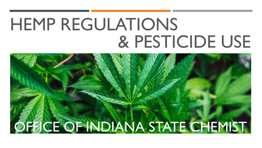# HEMP REGULATIONS & PESTICIDE USE

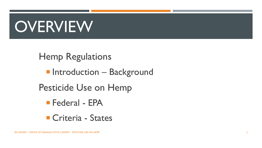# **OVERVIEW**

Hemp Regulations

- **Introduction Background**
- Pesticide Use on Hemp
	- Federal EPA
	- Criteria States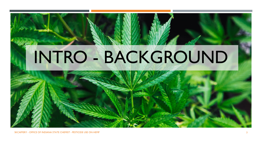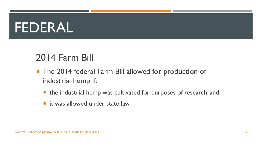## FEDERAL

#### 2014 Farm Bill

- **The 2014 federal Farm Bill allowed for production of** industrial hemp if:
	- the industrial hemp was cultivated for purposes of research; and
	- it was allowed under state law.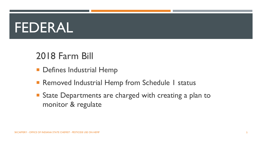## FEDERAL

#### 2018 Farm Bill

- **Defines Industrial Hemp**
- Removed Industrial Hemp from Schedule 1 status
- State Departments are charged with creating a plan to monitor & regulate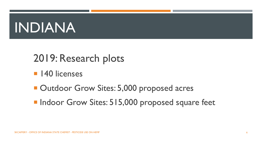# INDIANA

#### 2019: Research plots

- **140 licenses**
- **Dutdoor Grow Sites: 5,000 proposed acres**
- **Indoor Grow Sites: 515,000 proposed square feet**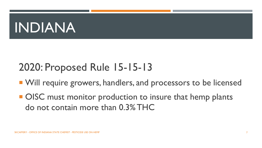# INDIANA

#### 2020: Proposed Rule 15-15-13

- **No. 2018 Will require growers, handlers, and processors to be licensed**
- OISC must monitor production to insure that hemp plants do not contain more than 0.3% THC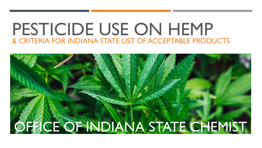#### PESTICIDE USE ON HEMP & CRITERIA FOR INDIANA STATE LIST OF ACCEPTABLE PRODUCTS

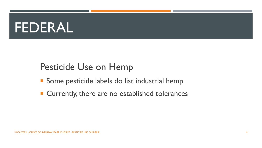#### FEDERAL

#### Pesticide Use on Hemp

- **Some pesticide labels do list industrial hemp**
- Currently, there are no established tolerances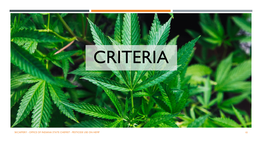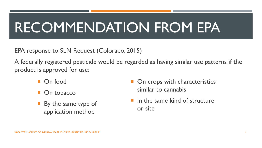# RECOMMENDATION FROM EPA

EPA response to SLN Request (Colorado, 2015)

A federally registered pesticide would be regarded as having similar use patterns if the product is approved for use:

- On food
- On tobacco
- By the same type of application method
- On crops with characteristics similar to cannabis
- In the same kind of structure or site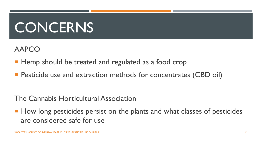# **CONCERNS**

AAPCO

- **Hemp should be treated and regulated as a food crop**
- **Pesticide use and extraction methods for concentrates (CBD oil)**

The Cannabis Horticultural Association

**How long pesticides persist on the plants and what classes of pesticides** are considered safe for use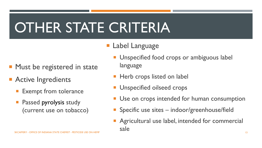# OTHER STATE CRITERIA

- **Label Language**
- **Must be registered in state**
- **Active Ingredients** 
	- Exempt from tolerance
	- Passed pyrolysis study (current use on tobacco)
- **Unspecified food crops or ambiguous label** language
- **Herb crops listed on label**
- Unspecified oilseed crops
- Use on crops intended for human consumption
- Specific use sites indoor/greenhouse/field
- Agricultural use label, intended for commercial sale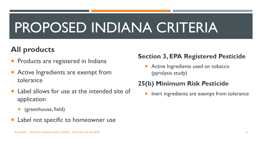# PROPOSED INDIANA CRITERIA

#### **All products**

- Products are registered in Indiana
- Active Ingredients are exempt from tolerance
- Label allows for use at the intended site of application
	- **E** (greenhouse, field)
- Label not specific to homeowner use

#### **Section 3, EPA Registered Pesticide**

**Active Ingredients used on tobacco** (pyrolysis study)

#### **25(b) Minimum Risk Pesticide**

**Inert ingredients are exempt from tolerance**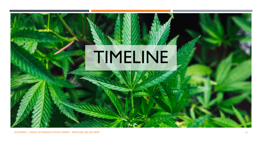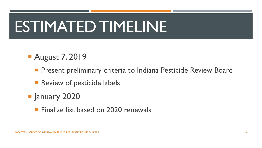# ESTIMATED TIMELINE

#### **August 7, 2019**

- **Present preliminary criteria to Indiana Pesticide Review Board**
- **Review of pesticide labels**
- **F** January 2020
	- **Finalize list based on 2020 renewals**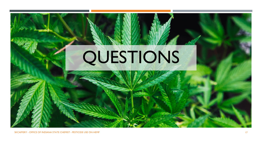